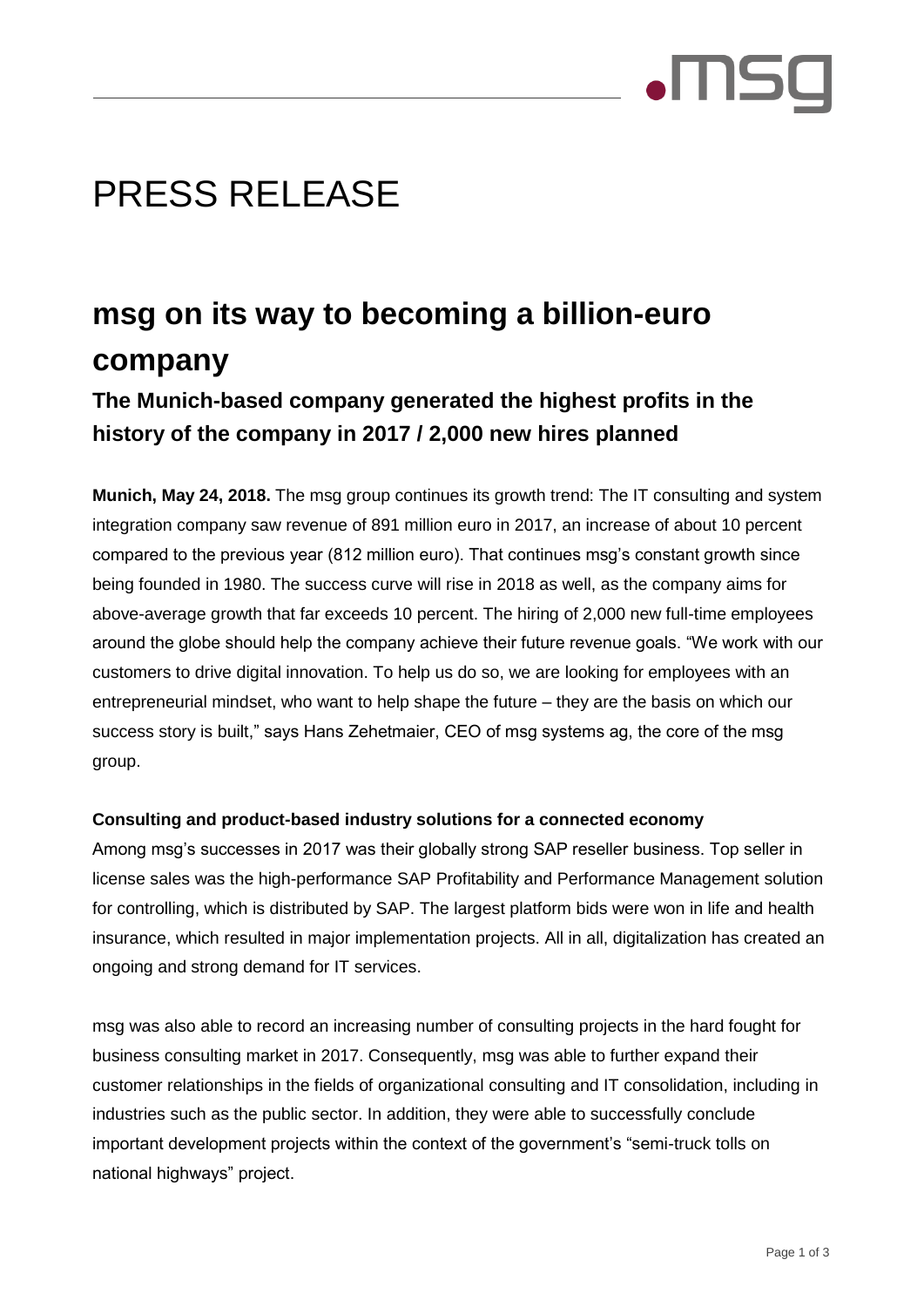

# PRESS RELEASE

# **msg on its way to becoming a billion-euro company**

## **The Munich-based company generated the highest profits in the history of the company in 2017 / 2,000 new hires planned**

**Munich, May 24, 2018.** The msg group continues its growth trend: The IT consulting and system integration company saw revenue of 891 million euro in 2017, an increase of about 10 percent compared to the previous year (812 million euro). That continues msg's constant growth since being founded in 1980. The success curve will rise in 2018 as well, as the company aims for above-average growth that far exceeds 10 percent. The hiring of 2,000 new full-time employees around the globe should help the company achieve their future revenue goals. "We work with our customers to drive digital innovation. To help us do so, we are looking for employees with an entrepreneurial mindset, who want to help shape the future – they are the basis on which our success story is built," says Hans Zehetmaier, CEO of msg systems ag, the core of the msg group.

### **Consulting and product-based industry solutions for a connected economy**

Among msg's successes in 2017 was their globally strong SAP reseller business. Top seller in license sales was the high-performance SAP Profitability and Performance Management solution for controlling, which is distributed by SAP. The largest platform bids were won in life and health insurance, which resulted in major implementation projects. All in all, digitalization has created an ongoing and strong demand for IT services.

msg was also able to record an increasing number of consulting projects in the hard fought for business consulting market in 2017. Consequently, msg was able to further expand their customer relationships in the fields of organizational consulting and IT consolidation, including in industries such as the public sector. In addition, they were able to successfully conclude important development projects within the context of the government's "semi-truck tolls on national highways" project.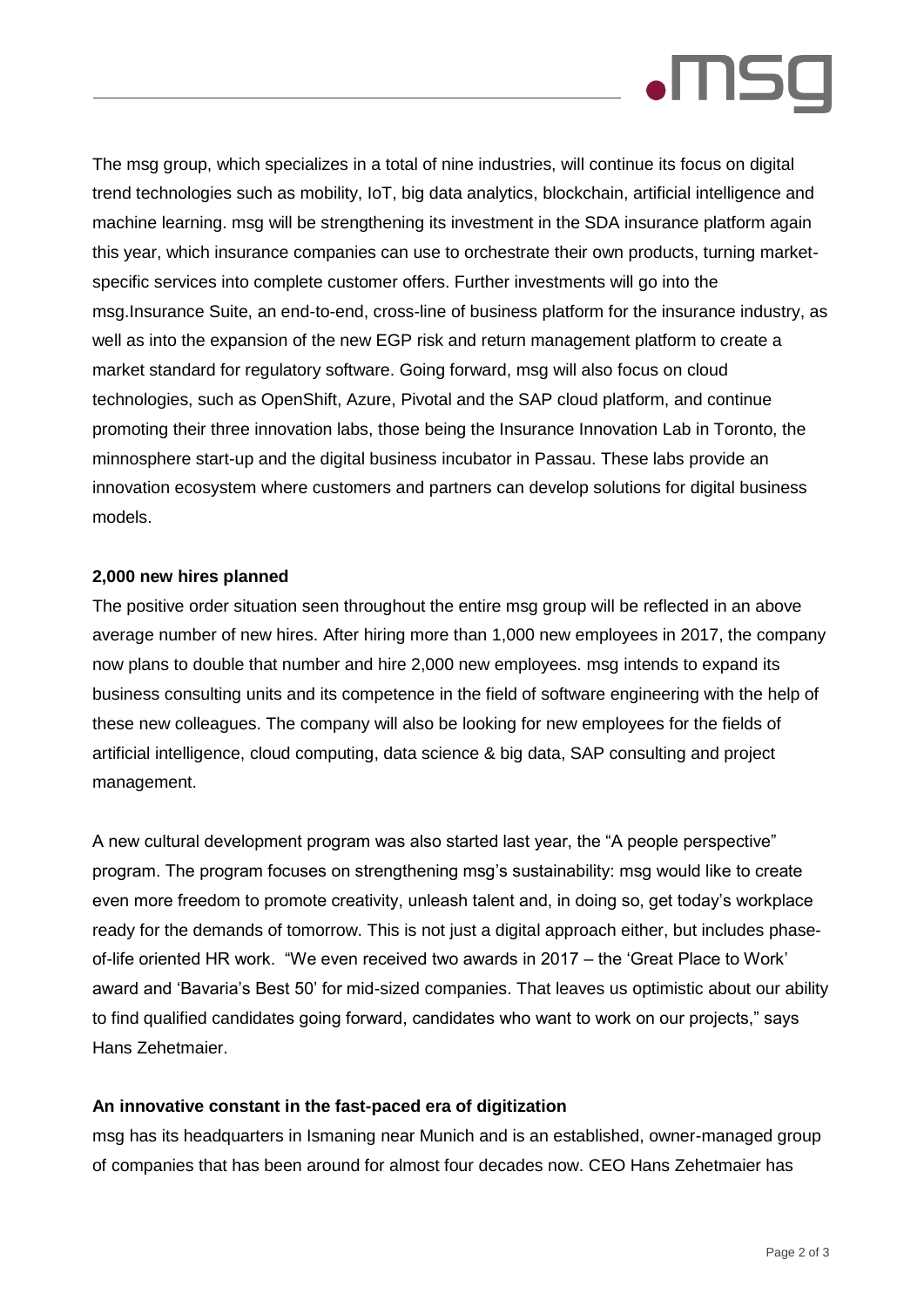

The msg group, which specializes in a total of nine industries, will continue its focus on digital trend technologies such as mobility, IoT, big data analytics, blockchain, artificial intelligence and machine learning. msg will be strengthening its investment in the SDA insurance platform again this year, which insurance companies can use to orchestrate their own products, turning marketspecific services into complete customer offers. Further investments will go into the msg.Insurance Suite, an end-to-end, cross-line of business platform for the insurance industry, as well as into the expansion of the new EGP risk and return management platform to create a market standard for regulatory software. Going forward, msg will also focus on cloud technologies, such as OpenShift, Azure, Pivotal and the SAP cloud platform, and continue promoting their three innovation labs, those being the Insurance Innovation Lab in Toronto, the minnosphere start-up and the digital business incubator in Passau. These labs provide an innovation ecosystem where customers and partners can develop solutions for digital business models.

### **2,000 new hires planned**

The positive order situation seen throughout the entire msg group will be reflected in an above average number of new hires. After hiring more than 1,000 new employees in 2017, the company now plans to double that number and hire 2,000 new employees. msg intends to expand its business consulting units and its competence in the field of software engineering with the help of these new colleagues. The company will also be looking for new employees for the fields of artificial intelligence, cloud computing, data science & big data, SAP consulting and project management.

A new cultural development program was also started last year, the "A people perspective" program. The program focuses on strengthening msg's sustainability: msg would like to create even more freedom to promote creativity, unleash talent and, in doing so, get today's workplace ready for the demands of tomorrow. This is not just a digital approach either, but includes phaseof-life oriented HR work. "We even received two awards in 2017 – the 'Great Place to Work' award and 'Bavaria's Best 50' for mid-sized companies. That leaves us optimistic about our ability to find qualified candidates going forward, candidates who want to work on our projects," says Hans Zehetmaier.

#### **An innovative constant in the fast-paced era of digitization**

msg has its headquarters in Ismaning near Munich and is an established, owner-managed group of companies that has been around for almost four decades now. CEO Hans Zehetmaier has